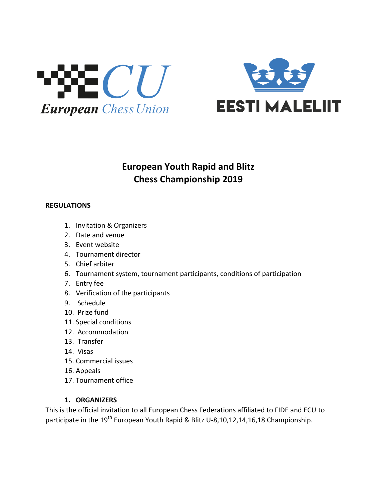



# **European Youth Rapid and Blitz Chess Championship 2019**

#### **REGULATIONS**

- 1. Invitation & Organizers
- 2. Date and venue
- 3. Event website
- 4. Tournament director
- 5. Chief arbiter
- 6. Tournament system, tournament participants, conditions of participation
- 7. Entry fee
- 8. Verification of the participants
- 9. Schedule
- 10. Prize fund
- 11. Special conditions
- 12. Accommodation
- 13. Transfer
- 14. Visas
- 15. Commercial issues
- 16. Appeals
- 17. Tournament office

## **1. ORGANIZERS**

This is the official invitation to all European Chess Federations affiliated to FIDE and ECU to participate in the 19<sup>th</sup> European Youth Rapid & Blitz U-8,10,12,14,16,18 Championship.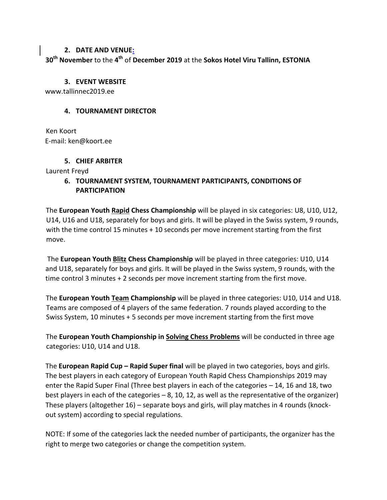#### **2. DATE AND VENUE:**

**30th November** to the **4 th** of **December 2019** at the **Sokos Hotel Viru Tallinn, ESTONIA** 

#### **3. EVENT WEBSITE**

www.tallinnec2019.ee

## **4. TOURNAMENT DIRECTOR**

Ken Koort E-mail: ken@koort.ee

## **5. CHIEF ARBITER**

Laurent Freyd

# **6. TOURNAMENT SYSTEM, TOURNAMENT PARTICIPANTS, CONDITIONS OF PARTICIPATION**

The **European Youth Rapid Chess Championship** will be played in six categories: U8, U10, U12, U14, U16 and U18, separately for boys and girls. It will be played in the Swiss system, 9 rounds, with the time control 15 minutes + 10 seconds per move increment starting from the first move.

The **European Youth Blitz Chess Championship** will be played in three categories: U10, U14 and U18, separately for boys and girls. It will be played in the Swiss system, 9 rounds, with the time control 3 minutes + 2 seconds per move increment starting from the first move.

The **European Youth Team Championship** will be played in three categories: U10, U14 and U18. Teams are composed of 4 players of the same federation. 7 rounds played according to the Swiss System, 10 minutes + 5 seconds per move increment starting from the first move

The **European Youth Championship in Solving Chess Problems** will be conducted in three age categories: U10, U14 and U18.

The **European Rapid Cup – Rapid Super final** will be played in two categories, boys and girls. The best players in each category of European Youth Rapid Chess Championships 2019 may enter the Rapid Super Final (Three best players in each of the categories – 14, 16 and 18, two best players in each of the categories – 8, 10, 12, as well as the representative of the organizer) These players (altogether 16) – separate boys and girls, will play matches in 4 rounds (knockout system) according to special regulations.

NOTE: If some of the categories lack the needed number of participants, the organizer has the right to merge two categories or change the competition system.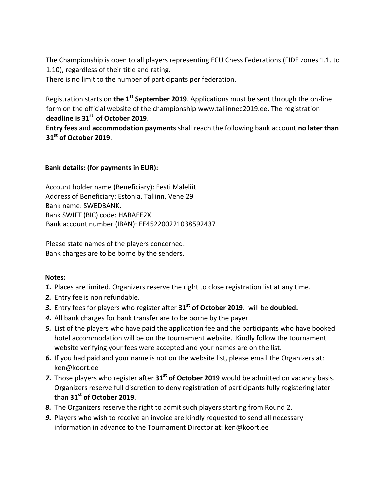The Championship is open to all players representing ECU Chess Federations (FIDE zones 1.1. to 1.10), regardless of their title and rating.

There is no limit to the number of participants per federation.

Registration starts on **the 1st September 2019**. Applications must be sent through the on-line form on the official website of the championship www.tallinnec2019.e[e.](http://www.maleliit.ee/eurapid2016) The registration **deadline is 31st of October 2019**.

**Entry fees** and **accommodation payments** shall reach the following bank account **no later than 31st of October 2019**.

## **Bank details: (for payments in EUR):**

Account holder name (Beneficiary): Eesti Maleliit Address of Beneficiary: Estonia, Tallinn, Vene 29 Bank name: SWEDBANK. Bank SWIFT (BIC) code: HABAEE2X Bank account number (IBAN): EE452200221038592437

Please state names of the players concerned. Bank charges are to be borne by the senders.

## **Notes:**

- *1.* Places are limited. Organizers reserve the right to close registration list at any time.
- *2.* Entry fee is non refundable.
- *3.* Entry fees for players who register after **31st of October 2019**. will be **doubled.**
- *4.* All bank charges for bank transfer are to be borne by the payer.
- *5.* List of the players who have paid the application fee and the participants who have booked hotel accommodation will be on the tournament website. Kindly follow the tournament website verifying your fees were accepted and your names are on the list.
- *6.* If you had paid and your name is not on the website list, please email the Organizers at: ken@koort.ee
- *7.* Those players who register after **31st of October 2019** would be admitted on vacancy basis. Organizers reserve full discretion to deny registration of participants fully registering later than **31st of October 2019**.
- *8.* The Organizers reserve the right to admit such players starting from Round 2.
- *9.* Players who wish to receive an invoice are kindly requested to send all necessary information in advance to the Tournament Director at: ken@koort.ee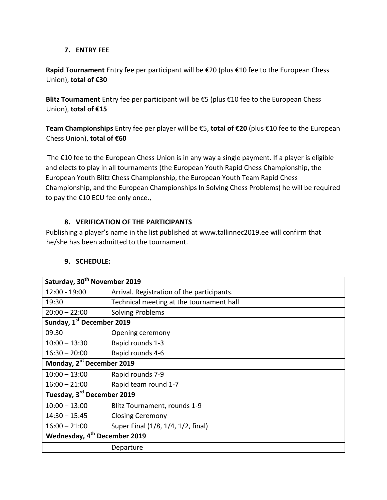#### **7. ENTRY FEE**

**Rapid Tournament** Entry fee per participant will be €20 (plus €10 fee to the European Chess Union), **total of €30**

**Blitz Tournament** Entry fee per participant will be €5 (plus €10 fee to the European Chess Union), **total of €15**

**Team Championships** Entry fee per player will be €5, **total of €20** (plus €10 fee to the European Chess Union), **total of €60**

The €10 fee to the European Chess Union is in any way a single payment. If a player is eligible and elects to play in all tournaments (the European Youth Rapid Chess Championship, the European Youth Blitz Chess Championship, the European Youth Team Rapid Chess Championship, and the European Championships In Solving Chess Problems) he will be required to pay the €10 ECU fee only once.,

# **8. VERIFICATION OF THE PARTICIPANTS**

Publishing a player's name in the list published at www.tallinnec2019.e[e](http://www.maleliit.ee/eurapid2016/) will confirm that he/she has been admitted to the tournament.

| Saturday, 30 <sup>th</sup> November 2019 |                                            |
|------------------------------------------|--------------------------------------------|
| 12:00 - 19:00                            | Arrival. Registration of the participants. |
| 19:30                                    | Technical meeting at the tournament hall   |
| $20:00 - 22:00$                          | <b>Solving Problems</b>                    |
| Sunday, 1st December 2019                |                                            |
| 09.30                                    | Opening ceremony                           |
| $10:00 - 13:30$                          | Rapid rounds 1-3                           |
| $16:30 - 20:00$                          | Rapid rounds 4-6                           |
| Monday, 2 <sup>nt</sup> December 2019    |                                            |
| $10:00 - 13:00$                          | Rapid rounds 7-9                           |
| $16:00 - 21:00$                          | Rapid team round 1-7                       |
| Tuesday, 3 <sup>rd</sup> December 2019   |                                            |
| $10:00 - 13:00$                          | Blitz Tournament, rounds 1-9               |
| $14:30 - 15:45$                          | <b>Closing Ceremony</b>                    |
| $16:00 - 21:00$                          | Super Final (1/8, 1/4, 1/2, final)         |
| Wednesday, 4 <sup>th</sup> December 2019 |                                            |
|                                          | Departure                                  |

## **9. SCHEDULE:**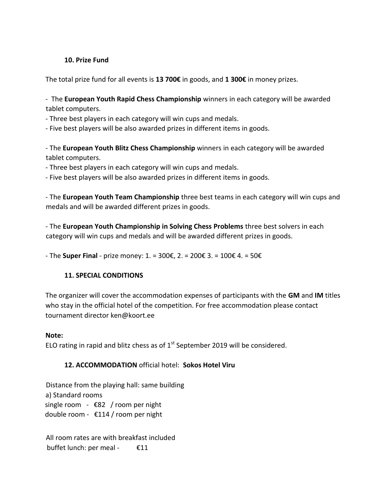#### **10. Prize Fund**

The total prize fund for all events is **13 700€** in goods, and **1 300€** in money prizes.

- The **European Youth Rapid Chess Championship** winners in each category will be awarded tablet computers.

- Three best players in each category will win cups and medals.

- Five best players will be also awarded prizes in different items in goods.

- The **European Youth Blitz Chess Championship** winners in each category will be awarded tablet computers.

- Three best players in each category will win cups and medals.

- Five best players will be also awarded prizes in different items in goods.

- The **European Youth Team Championship** three best teams in each category will win cups and medals and will be awarded different prizes in goods.

- The **European Youth Championship in Solving Chess Problems** three best solvers in each category will win cups and medals and will be awarded different prizes in goods.

- The **Super Final** - prize money: 1. = 300€, 2. = 200€ 3. = 100€ 4. = 50€

## **11. SPECIAL CONDITIONS**

The organizer will cover the accommodation expenses of participants with the **GM** and **IM** titles who stay in the official hotel of the competition. For free accommodation please contact tournament director ken@koort.ee

## **Note:**

ELO rating in rapid and blitz chess as of  $1<sup>st</sup>$  September 2019 will be considered.

## **12. ACCOMMODATION** official hotel: **Sokos Hotel Viru**

Distance from the playing hall: same building a) Standard rooms single room - €82 / room per night double room - €114 / room per night

All room rates are with breakfast included buffet lunch: per meal - €11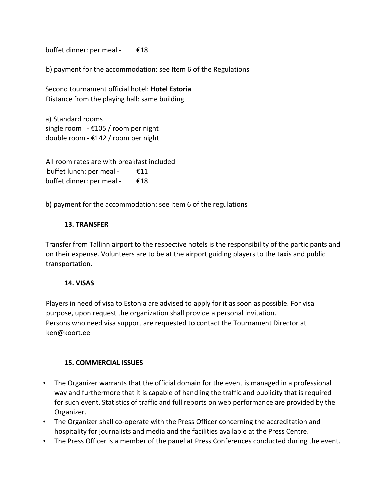buffet dinner: per meal - €18

b) payment for the accommodation: see Item 6 of the Regulations

Second tournament official hotel: **Hotel Estoria** Distance from the playing hall: same building

a) Standard rooms single room  $-$  £105 / room per night double room - €142 / room per night

All room rates are with breakfast included buffet lunch: per meal - €11 buffet dinner: per meal - €18

b) payment for the accommodation: see Item 6 of the regulations

#### **13. TRANSFER**

Transfer from Tallinn airport to the respective hotels is the responsibility of the participants and on their expense. Volunteers are to be at the airport guiding players to the taxis and public transportation.

#### **14. VISAS**

Players in need of visa to Estonia are advised to apply for it as soon as possible. For visa purpose, upon request the organization shall provide a personal invitation. Persons who need visa support are requested to contact the Tournament Director at [ken@koort.ee](mailto:ken@koort.ee)

## **15. COMMERCIAL ISSUES**

- The Organizer warrants that the official domain for the event is managed in a professional way and furthermore that it is capable of handling the traffic and publicity that is required for such event. Statistics of traffic and full reports on web performance are provided by the Organizer.
- The Organizer shall co-operate with the Press Officer concerning the accreditation and hospitality for journalists and media and the facilities available at the Press Centre.
- The Press Officer is a member of the panel at Press Conferences conducted during the event.